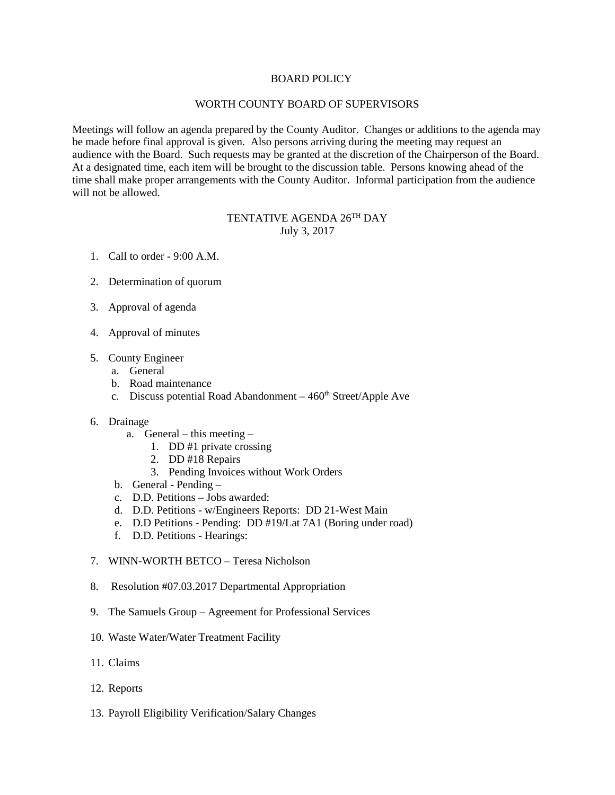## BOARD POLICY

## WORTH COUNTY BOARD OF SUPERVISORS

Meetings will follow an agenda prepared by the County Auditor. Changes or additions to the agenda may be made before final approval is given. Also persons arriving during the meeting may request an audience with the Board. Such requests may be granted at the discretion of the Chairperson of the Board. At a designated time, each item will be brought to the discussion table. Persons knowing ahead of the time shall make proper arrangements with the County Auditor. Informal participation from the audience will not be allowed.

## TENTATIVE AGENDA 26TH DAY July 3, 2017

- 1. Call to order 9:00 A.M.
- 2. Determination of quorum
- 3. Approval of agenda
- 4. Approval of minutes
- 5. County Engineer
	- a. General
	- b. Road maintenance
	- c. Discuss potential Road Abandonment  $-460<sup>th</sup> Street/Apple$  Ave
- 6. Drainage
	- a. General this meeting
		- 1. DD #1 private crossing
		- 2. DD #18 Repairs
		- 3. Pending Invoices without Work Orders
	- b. General Pending –
	- c. D.D. Petitions Jobs awarded:
	- d. D.D. Petitions w/Engineers Reports: DD 21-West Main
	- e. D.D Petitions Pending: DD #19/Lat 7A1 (Boring under road)
	- f. D.D. Petitions Hearings:
- 7. WINN-WORTH BETCO Teresa Nicholson
- 8. Resolution #07.03.2017 Departmental Appropriation
- 9. The Samuels Group Agreement for Professional Services
- 10. Waste Water/Water Treatment Facility
- 11. Claims
- 12. Reports
- 13. Payroll Eligibility Verification/Salary Changes